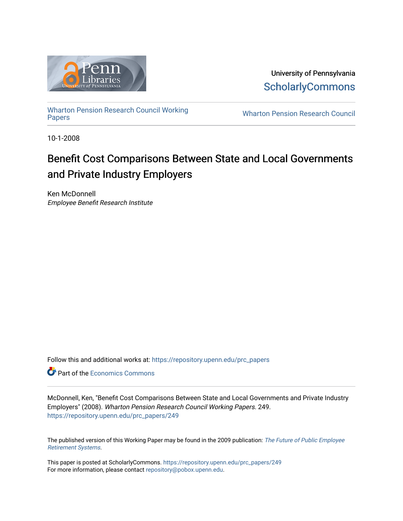

University of Pennsylvania **ScholarlyCommons** 

[Wharton Pension Research Council Working](https://repository.upenn.edu/prc_papers)

**Wharton Pension Research Council** 

10-1-2008

## Benefit Cost Comparisons Between State and Local Governments and Private Industry Employers

Ken McDonnell Employee Benefit Research Institute

Follow this and additional works at: [https://repository.upenn.edu/prc\\_papers](https://repository.upenn.edu/prc_papers?utm_source=repository.upenn.edu%2Fprc_papers%2F249&utm_medium=PDF&utm_campaign=PDFCoverPages) 

**C** Part of the [Economics Commons](http://network.bepress.com/hgg/discipline/340?utm_source=repository.upenn.edu%2Fprc_papers%2F249&utm_medium=PDF&utm_campaign=PDFCoverPages)

McDonnell, Ken, "Benefit Cost Comparisons Between State and Local Governments and Private Industry Employers" (2008). Wharton Pension Research Council Working Papers. 249. [https://repository.upenn.edu/prc\\_papers/249](https://repository.upenn.edu/prc_papers/249?utm_source=repository.upenn.edu%2Fprc_papers%2F249&utm_medium=PDF&utm_campaign=PDFCoverPages) 

The published version of this Working Paper may be found in the 2009 publication: [The Future of Public Employee](https://pensionresearchcouncil.wharton.upenn.edu/publications/books/the-future-of-public-employee-retirement-systems/) [Retirement Systems](https://pensionresearchcouncil.wharton.upenn.edu/publications/books/the-future-of-public-employee-retirement-systems/).

This paper is posted at ScholarlyCommons. [https://repository.upenn.edu/prc\\_papers/249](https://repository.upenn.edu/prc_papers/249)  For more information, please contact [repository@pobox.upenn.edu.](mailto:repository@pobox.upenn.edu)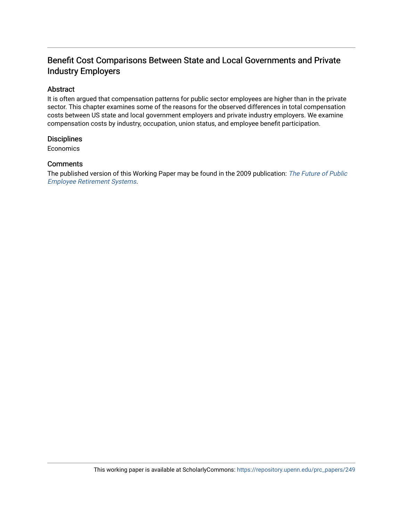## Benefit Cost Comparisons Between State and Local Governments and Private Industry Employers

### Abstract

It is often argued that compensation patterns for public sector employees are higher than in the private sector. This chapter examines some of the reasons for the observed differences in total compensation costs between US state and local government employers and private industry employers. We examine compensation costs by industry, occupation, union status, and employee benefit participation.

#### **Disciplines**

Economics

#### **Comments**

The published version of this Working Paper may be found in the 2009 publication: The Future of Public [Employee Retirement Systems](https://pensionresearchcouncil.wharton.upenn.edu/publications/books/the-future-of-public-employee-retirement-systems/).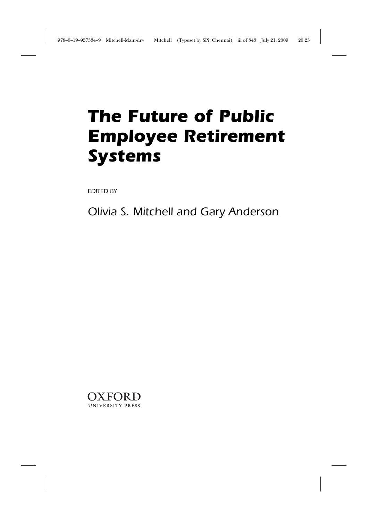# *The Future of Public Employee Retirement Systems*

*EDITED BY*

*Olivia S. Mitchell and Gary Anderson*

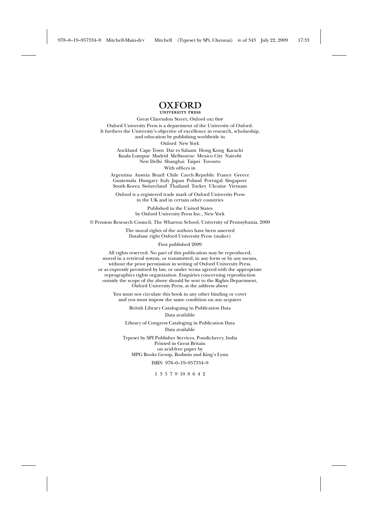## **OXFORD**

Great Clarendon Street, Oxford ox2 6DP Oxford University Press is a department of the University of Oxford. It furthers the University's objective of excellence in research, scholarship, and education by publishing worldwide in Oxford New York

Auckland Cape Town Dar es Salaam Hong Kong Karachi Kuala Lumpur Madrid Melbourne Mexico City Nairobi New Delhi Shanghai Taipei Toronto With offices in

Argentina Austria Brazil Chile Czech Republic France Greece Guatemala Hungary Italy Japan Poland Portugal Singapore South Korea Switzerland Thailand Turkey Ukraine Vietnam

Oxford is a registered trade mark of Oxford University Press in the UK and in certain other countries

> Published in the United States by Oxford University Press Inc., New York

© Pension Research Council, The Wharton School, University of Pennsylvania, 2009

The moral rights of the authors have been asserted Database right Oxford University Press (maker)

First published 2009

All rights reserved. No part of this publication may be reproduced, stored in a retrieval system, or transmitted, in any form or by any means, without the prior permission in writing of Oxford University Press, or as expressly permitted by law, or under terms agreed with the appropriate reprographics rights organization. Enquiries concerning reproduction outside the scope of the above should be sent to the Rights Department, Oxford University Press, at the address above

You must not circulate this book in any other binding or cover and you must impose the same condition on any acquirer

> British Library Cataloguing in Publication Data Data available

Library of Congress Cataloging in Publication Data Data available

Typeset by SPI Publisher Services, Pondicherry, India Printed in Great Britain on acid-free paper by MPG Books Group, Bodmin and King's Lynn ISBN 978–0–19–957334–9

1 3 5 7 9 10 8 6 4 2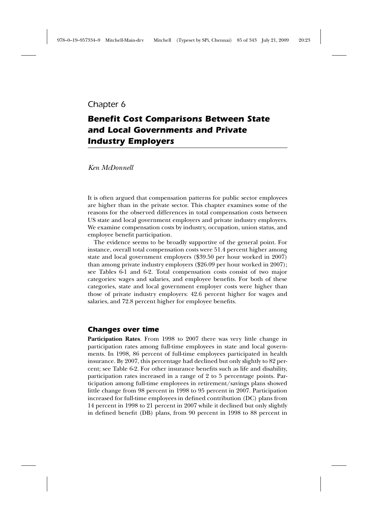### *Chapter 6*

## *Benefit Cost Comparisons Between State and Local Governments and Private Industry Employers*

*Ken McDonnell*

It is often argued that compensation patterns for public sector employees are higher than in the private sector. This chapter examines some of the reasons for the observed differences in total compensation costs between US state and local government employers and private industry employers. We examine compensation costs by industry, occupation, union status, and employee benefit participation.

The evidence seems to be broadly supportive of the general point. For instance, overall total compensation costs were 51.4 percent higher among state and local government employers (\$39.50 per hour worked in 2007) than among private industry employers (\$26.09 per hour worked in 2007); see Tables 6-1 and 6-2. Total compensation costs consist of two major categories: wages and salaries, and employee benefits. For both of these categories, state and local government employer costs were higher than those of private industry employers: 42.6 percent higher for wages and salaries, and 72.8 percent higher for employee benefits.

#### *Changes over time*

**Participation Rates**. From 1998 to 2007 there was very little change in participation rates among full-time employees in state and local governments. In 1998, 86 percent of full-time employees participated in health insurance. By 2007, this percentage had declined but only slightly to 82 percent; see Table 6-2. For other insurance benefits such as life and disability, participation rates increased in a range of 2 to 5 percentage points. Participation among full-time employees in retirement/savings plans showed little change from 98 percent in 1998 to 95 percent in 2007. Participation increased for full-time employees in defined contribution (DC) plans from 14 percent in 1998 to 21 percent in 2007 while it declined but only slightly in defined benefit (DB) plans, from 90 percent in 1998 to 88 percent in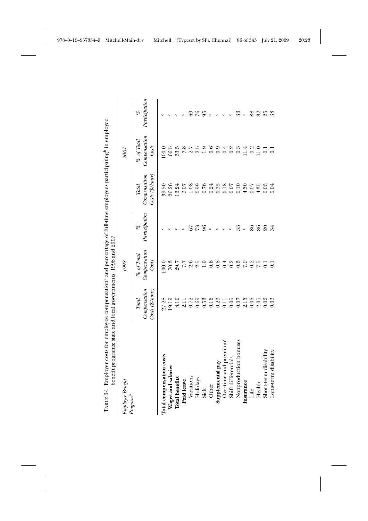| Employee Benefit         |                                                 | 1998                                     |                     |                                                   | <b>2007</b>                               |                     |
|--------------------------|-------------------------------------------------|------------------------------------------|---------------------|---------------------------------------------------|-------------------------------------------|---------------------|
| $Program^b$              | Compensation<br>Costs (\$/hour)<br><b>Total</b> | Compensation<br>$\%$ of $Total$<br>Costs | Participation<br>be | $Costs$ (\$/hour)<br>Compensation<br><b>Total</b> | Compensation<br>$\%$ of Total<br>Costs    | Participation<br>P6 |
| Total compensation costs | 27.28                                           | 100.0                                    |                     | 39.50                                             | 100.0                                     |                     |
| Wages and salaries       | 19.19                                           | 70.3                                     |                     | 26.26                                             | 66.5                                      |                     |
| <b>Total benefits</b>    | 8.10                                            |                                          |                     | 13.24                                             | 33.5                                      |                     |
| Paid leave               | 2.11                                            | 29.7<br>7.7                              |                     | 3.07                                              | 7.8                                       |                     |
| Vacations                | 0.72                                            | 2.6                                      |                     | 1.08                                              | 2.7                                       |                     |
| Holidays                 | 0.69                                            |                                          | 73                  | 0.99                                              | 2.5                                       | $\approx$           |
| <b>Sick</b>              | 0.53                                            | 1.9                                      | 96                  | 0.76                                              |                                           | 95                  |
| Other                    | 0.16                                            | 0.6                                      | $\circ$             | 0.24                                              | $\begin{array}{c} 0.6 \\ 0.6 \end{array}$ |                     |
| Supplemental pay         | 0.23                                            | 0.8                                      |                     | 0.35                                              |                                           |                     |
| Overtime and premium     | 0.11                                            | 0.4                                      |                     | $0.18\,$                                          | 0.9                                       |                     |
| Shift differentials      | 0.05                                            |                                          |                     | 0.07                                              | $0.\overline{3}$                          |                     |
| Nonproduction bonuses    | 0.07                                            | $0.\overline{3}$                         | 33                  | 0.10                                              |                                           | ೫                   |
| Insurance                | 2.15                                            | 7.9                                      | $\circ$             | 4.50                                              | 11.4                                      | $\circ$             |
| Life                     | 0.05                                            | $0.2$<br>7.5                             | 86                  | 0.07                                              | 0.2                                       | 88                  |
| Health                   | 2.05                                            |                                          | 86                  | 4.35                                              | 11.0                                      | 825                 |
| Short-term disability    | 0.02                                            | $\overline{0}$ .                         | $\Omega$            | 0.03                                              |                                           |                     |
| Long-term disability     | 0.03                                            | $\overline{C}$                           | 34                  | 0.04                                              | $\overline{0}$                            | 38                  |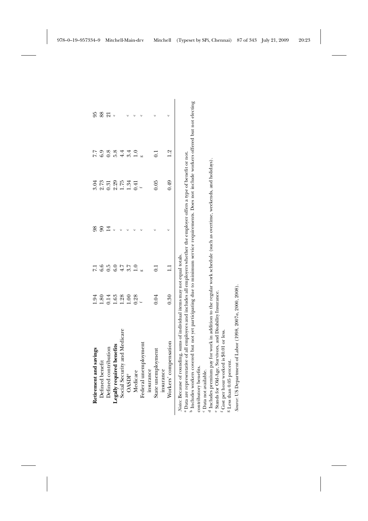| Retirement and savings                                                                                                                                                                                                                                                                                                                 | 1.94          | $\overline{7}$ | 98             | 3.04 | 7.7           | 95              |
|----------------------------------------------------------------------------------------------------------------------------------------------------------------------------------------------------------------------------------------------------------------------------------------------------------------------------------------|---------------|----------------|----------------|------|---------------|-----------------|
| Defined benefit                                                                                                                                                                                                                                                                                                                        | $\frac{8}{3}$ | 6.6            |                | 2.73 | 6.9           | 88              |
| Defined contribution                                                                                                                                                                                                                                                                                                                   | 0.14          | 0.5            | $\overline{4}$ | 0.31 | $\frac{8}{2}$ | $\overline{21}$ |
| Legally required benefits                                                                                                                                                                                                                                                                                                              | 1.63          | $_{\rm 6.0}$   |                | 2.29 | 5.8           |                 |
| Social Security and Medicare                                                                                                                                                                                                                                                                                                           | 1.28          | 4.7            |                | 1.75 | 4.4           |                 |
| <b>OASDI<sup>e</sup></b>                                                                                                                                                                                                                                                                                                               | 00.1          | S.7            |                | 1.34 | 3.4           |                 |
| Medicare                                                                                                                                                                                                                                                                                                                               | 0.28          | $\frac{1}{1}$  |                | 0.41 | 1.0           |                 |
| Federal unemployment                                                                                                                                                                                                                                                                                                                   |               |                |                |      |               |                 |
| insurance                                                                                                                                                                                                                                                                                                                              |               |                |                |      |               |                 |
| State unemployment                                                                                                                                                                                                                                                                                                                     | 0.04          |                |                | 0.05 |               |                 |
| insurance                                                                                                                                                                                                                                                                                                                              |               |                |                |      |               |                 |
| Workers' compensation                                                                                                                                                                                                                                                                                                                  | 0.30          |                |                | 0.49 | $\frac{2}{1}$ |                 |
| a Taalaa ahaa ay ahaa dadka wadanka wadan ka waxaan dadka waxaan ay maraan Doogaa ka ka kaleensa maraa lama ah<br><sup>a</sup> Data are representative of all employees and includes all employers whether the employer offers a type of benefit or not.<br>Notes: Because of rounding, sums of individual items may not equal totals. |               |                |                |      |               |                 |

 Includes workers covered but not yet participating due to minimum service requirements. Does not include workers offered but not electing contributory benefits. contributory benefits.

Data not available.

cdeIncludes premium pay for work in addition to the regular work schedule (such as overtime, weekends, and holidays).

Stands for Old-Age, Survivors, and Disability Insurance.

Cost per hour worked is \$0.01 or less.

ما سب

Less than 0.05 percent.

Source: US Department of Labor (1998, 2007a, 2000, 2008). *Source*: US Department of Labor (1998, 2007*a*, 2000, 2008).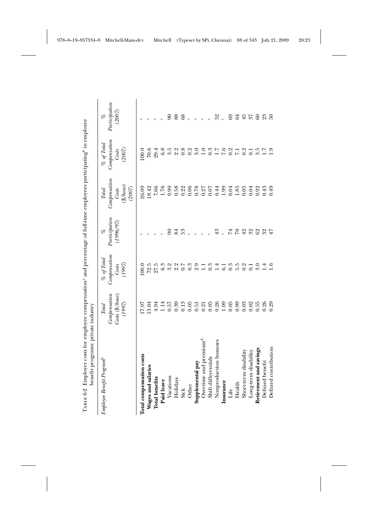| TABLE 6-2 Employer costs for employee compensation <sup>a</sup> and percentage of full-time employees participating <sup>b</sup> in employee<br>benefit programs: private industry |                                                                                                          |                                                    |                                  |                                                               |                                                  |                                                    |
|------------------------------------------------------------------------------------------------------------------------------------------------------------------------------------|----------------------------------------------------------------------------------------------------------|----------------------------------------------------|----------------------------------|---------------------------------------------------------------|--------------------------------------------------|----------------------------------------------------|
| Employee Benefit Program <sup>b</sup>                                                                                                                                              | Compenstation<br>$Cost \left( \frac{\alpha}{\beta}/hour \right)$<br>$(1997)$<br>$\label{eq:total} Total$ | Compensation<br>$\%$ of Total<br>$(1997)$<br>Costs | Paricipation<br>(1996/97)<br>olo | Compensation<br>$(\frac{\$}{h}$ our)<br>Costs<br><b>Total</b> | Compensation<br>$\%$ of Total<br>(2007)<br>Costs | Partition<br>(2007)<br>$\mathscr{S}_{\mathcal{O}}$ |
|                                                                                                                                                                                    |                                                                                                          |                                                    |                                  | (2007)                                                        |                                                  |                                                    |
| Total compensation costs                                                                                                                                                           | 17.97                                                                                                    | 100.0                                              |                                  | 26.09                                                         | 100.0                                            |                                                    |
| Wages and salaries                                                                                                                                                                 | 13.04                                                                                                    | 72.5                                               |                                  | 18.42                                                         | 70.6                                             |                                                    |
| <b>Total benefits</b>                                                                                                                                                              | 4.94                                                                                                     | 27.5                                               |                                  | 7.66                                                          | 29.4                                             |                                                    |
| Paid leave                                                                                                                                                                         | 1.14                                                                                                     | 6.3                                                |                                  | 1.76                                                          | 6.8                                              |                                                    |
| Vacations                                                                                                                                                                          | 0.57                                                                                                     | 3.2                                                |                                  | 0.90                                                          | 3.5                                              | $\infty$                                           |
| Holidays                                                                                                                                                                           | 0.39                                                                                                     |                                                    | 84                               | 0.58                                                          |                                                  | 88                                                 |
| Sick                                                                                                                                                                               | 0.13                                                                                                     | $2.2$<br>$0.7$                                     |                                  |                                                               | 2800                                             | 68                                                 |
| Other                                                                                                                                                                              | 0.05                                                                                                     | 0.3                                                |                                  | $0.22$<br>0.06                                                |                                                  | $\circ$                                            |
| Supplemental pay                                                                                                                                                                   | 0.51                                                                                                     | 9.9                                                |                                  |                                                               | 3.0                                              | $\circ$                                            |
| Overtime and premium <sup>a</sup>                                                                                                                                                  | 0.21                                                                                                     |                                                    |                                  |                                                               | $\overline{1.0}$                                 |                                                    |
| Shift differentials                                                                                                                                                                | 0.05                                                                                                     | 0.3                                                |                                  | 78<br>727<br>87<br>87                                         |                                                  |                                                    |
| Nonproduction bonuses                                                                                                                                                              | 0.26                                                                                                     | 1.4                                                | 43                               | 0.44                                                          |                                                  | 52                                                 |
| Insurance                                                                                                                                                                          | 1.09                                                                                                     | 6.1                                                |                                  | 1.99                                                          |                                                  | $\circ$                                            |
| Life                                                                                                                                                                               | 0.05                                                                                                     | $0.\overline{3}$                                   | $\overline{7}$                   | 0.04                                                          |                                                  | 69                                                 |
| Health                                                                                                                                                                             | 0.99                                                                                                     | 5.5                                                |                                  | 1.85                                                          |                                                  | 64                                                 |
| Short-term disability                                                                                                                                                              | 0.03                                                                                                     | 0.2                                                | 29                               | 0.05                                                          |                                                  |                                                    |
| Long-term disability                                                                                                                                                               | 0.02                                                                                                     | $\overline{0.1}$                                   | 222                              | 0.04                                                          |                                                  | $45$ $57$                                          |
| Retirement and savings                                                                                                                                                             | 0.55                                                                                                     | 3.0                                                |                                  | 0.92                                                          | $\frac{3.5}{1.7}$                                | $rac{8}{23}$                                       |
| Defined benefit                                                                                                                                                                    | 0.26                                                                                                     | $\frac{4}{1}$                                      |                                  | 0.43                                                          |                                                  |                                                    |
| Defined contribution                                                                                                                                                               | 0.29                                                                                                     | 1.6                                                | 47                               | 64.0                                                          | $\ddot{0}$                                       | $50^{\circ}$                                       |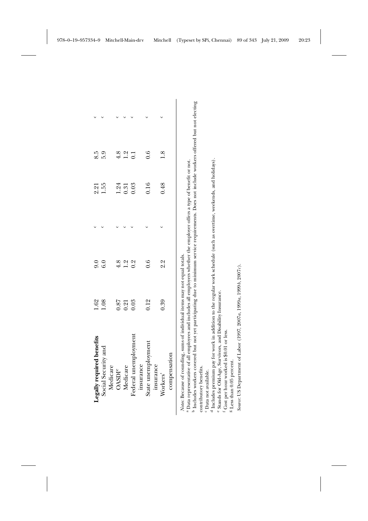| Legally required benefits                                                                                                                                                                                                                                                                                                                                                  | 1.62 | $\overline{6}$   | 2.21 | 8.5              |  |
|----------------------------------------------------------------------------------------------------------------------------------------------------------------------------------------------------------------------------------------------------------------------------------------------------------------------------------------------------------------------------|------|------------------|------|------------------|--|
| Social Security and                                                                                                                                                                                                                                                                                                                                                        | 1.08 | 6.0              | 1.55 | 5.9              |  |
| Medicare<br><b>OASDI<sup>e</sup></b>                                                                                                                                                                                                                                                                                                                                       | 0.87 | 4.8              | 1.24 | 4.8              |  |
| Medicare                                                                                                                                                                                                                                                                                                                                                                   | 0.21 | 1.2              | 0.31 | 1.2              |  |
| Federal unemployment                                                                                                                                                                                                                                                                                                                                                       | 0.03 | $0.\overline{2}$ | 0.03 | $\overline{0}$ . |  |
| insurance                                                                                                                                                                                                                                                                                                                                                                  |      |                  |      |                  |  |
| State unemployment                                                                                                                                                                                                                                                                                                                                                         | 0.12 | 0.6              | 0.16 | $\dot{\rm o}$    |  |
| insurance                                                                                                                                                                                                                                                                                                                                                                  |      |                  |      |                  |  |
| Workers'                                                                                                                                                                                                                                                                                                                                                                   | 0.39 | 2.3              | 0.48 | $\overline{1.8}$ |  |
| compensation                                                                                                                                                                                                                                                                                                                                                               |      |                  |      |                  |  |
| <sup>0</sup> Includes workers covered but not yet participating due to minimum service requirements. Does not include workers offered but not electing<br><sup>a</sup> Data representative of all employees and includes all employers whether the employer offers a type of benefit or not.<br>Notes: Because of rounding, sums of individual items may not equal totals. |      |                  |      |                  |  |
| contributory benefits.                                                                                                                                                                                                                                                                                                                                                     |      |                  |      |                  |  |

contributory benefits.

Data not available.

ه ن ن ح ن ن م Includes premium pay for work in addition to the regular work schedule (such as overtime, weekends, and holidays).

Stands for Old-Age, Survivors, and Disability Insurance.

Cost per hour worked is \$0.01 or less.

Less than 0.05 percent.

Source: US Department of Labor (1997, 2007a, 1999a, 1999b, 2007c). *Source*: US Department of Labor (1997, 2007*a*, 1999*a*, 1999*b*, 2007*c*).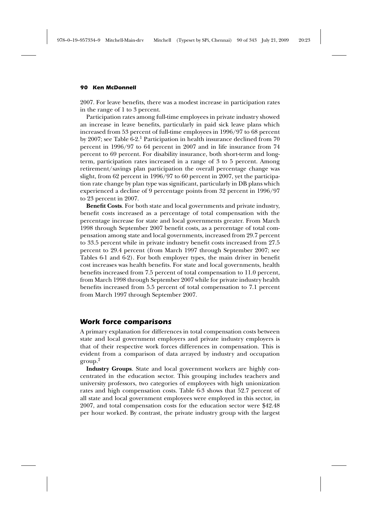2007. For leave benefits, there was a modest increase in participation rates in the range of 1 to 3 percent.

Participation rates among full-time employees in private industry showed an increase in leave benefits, particularly in paid sick leave plans which increased from 53 percent of full-time employees in 1996/97 to 68 percent by 2007; see Table 6-2.<sup>1</sup> Participation in health insurance declined from 70 percent in 1996/97 to 64 percent in 2007 and in life insurance from 74 percent to 69 percent. For disability insurance, both short-term and longterm, participation rates increased in a range of 3 to 5 percent. Among retirement/savings plan participation the overall percentage change was slight, from 62 percent in 1996/97 to 60 percent in 2007, yet the participation rate change by plan type was significant, particularly in DB plans which experienced a decline of 9 percentage points from 32 percent in 1996/97 to 23 percent in 2007.

**Benefit Costs**. For both state and local governments and private industry, benefit costs increased as a percentage of total compensation with the percentage increase for state and local governments greater. From March 1998 through September 2007 benefit costs, as a percentage of total compensation among state and local governments, increased from 29.7 percent to 33.5 percent while in private industry benefit costs increased from 27.5 percent to 29.4 percent (from March 1997 through September 2007; see Tables 6-1 and 6-2). For both employer types, the main driver in benefit cost increases was health benefits. For state and local governments, health benefits increased from 7.5 percent of total compensation to 11.0 percent, from March 1998 through September 2007 while for private industry health benefits increased from 5.5 percent of total compensation to 7.1 percent from March 1997 through September 2007.

#### *Work force comparisons*

A primary explanation for differences in total compensation costs between state and local government employers and private industry employers is that of their respective work forces differences in compensation. This is evident from a comparison of data arrayed by industry and occupation group.<sup>2</sup>

**Industry Groups**. State and local government workers are highly concentrated in the education sector. This grouping includes teachers and university professors, two categories of employees with high unionization rates and high compensation costs. Table 6-3 shows that 52.7 percent of all state and local government employees were employed in this sector, in 2007, and total compensation costs for the education sector were \$42.48 per hour worked. By contrast, the private industry group with the largest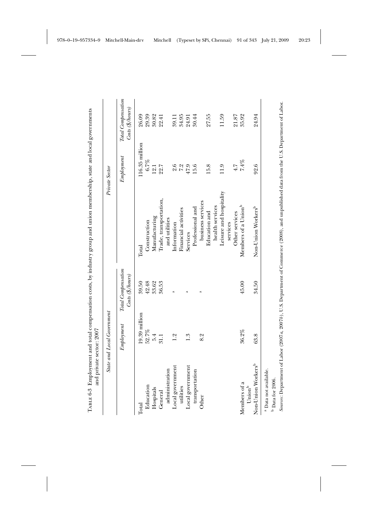|                                    | State and Local Government |                                                                     |                                 | Private Sector |                                                                     |
|------------------------------------|----------------------------|---------------------------------------------------------------------|---------------------------------|----------------|---------------------------------------------------------------------|
|                                    | Emp <sub>log</sub> ment    | Total Compensation<br>$\text{Costs}(\frac{\alpha}{2}/\text{hours})$ |                                 | Emblogment     | Total Compensation<br>$\text{Costs}(\frac{\alpha}{2}/\text{hours})$ |
| Total                              | 19.39 million              | 39.50                                                               | Total                           | 16.35 million  | 26.09                                                               |
| Education                          | 52.7%                      | 42.48                                                               | Construction                    | 6.7%           | 29.39                                                               |
| Hospitals                          | 5.4                        | 33.62                                                               | Manufacturing                   | 12.1           | 30.82                                                               |
| General                            | 31.1                       | 36.53                                                               | Irade, transportation,          | 22.7           | 22.41                                                               |
| administration                     |                            |                                                                     | and utilities                   |                |                                                                     |
| Local government                   | 1.2                        | $\mathbf{r}$                                                        | Information                     | 2.6            | 39.11                                                               |
| utilities                          |                            |                                                                     | Financial activities            | 7.2            | 34.95                                                               |
| Local government                   | 1.3                        | $\mathbf{\tilde{d}}$                                                | Services                        | 47.9           | 24.91                                                               |
| transportation                     |                            |                                                                     | Professional and                | 15.6           | 30.44                                                               |
| Other                              | 8.2                        | $\mathfrak{a}$                                                      | business services               |                |                                                                     |
|                                    |                            |                                                                     | Education and                   | 15.8           | 27.55                                                               |
|                                    |                            |                                                                     | health services                 |                |                                                                     |
|                                    |                            |                                                                     | Leisure and hospitality         | 11.9           | 11.59                                                               |
|                                    |                            |                                                                     | services                        |                |                                                                     |
|                                    |                            |                                                                     | Other services                  | $\ddot{1}$     | 21.87                                                               |
| Members of a<br>Union <sup>b</sup> | 36.2%                      | 45.00                                                               | Members of a Union <sup>b</sup> | $7.4\%$        | 35.92                                                               |
| Non-Union Workers <sup>b</sup>     | 63.8                       | 34.50                                                               | Non-Union Workers <sup>b</sup>  | 92.6           | 24.94                                                               |

Soures: Department of Labor (2007a, 2007b), U.S. Department of Commerce (2008), and unpublished data from the U.S. Department of Labor. *Sources*: Department of Labor (2007*a*, 2007*b*), U.S. Department of Commerce (2008), and unpublished data from the U.S. Department of Labor.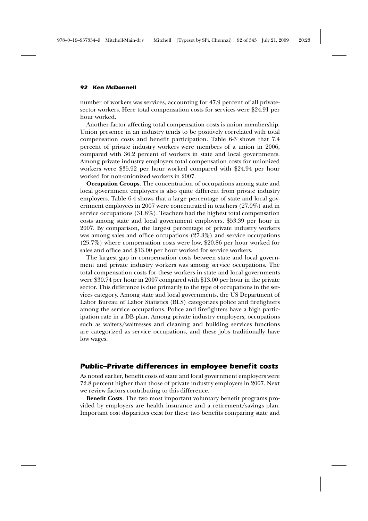number of workers was services, accounting for 47.9 percent of all privatesector workers. Here total compensation costs for services were \$24.91 per hour worked.

Another factor affecting total compensation costs is union membership. Union presence in an industry tends to be positively correlated with total compensation costs and benefit participation. Table 6-3 shows that 7.4 percent of private industry workers were members of a union in 2006, compared with 36.2 percent of workers in state and local governments. Among private industry employers total compensation costs for unionized workers were \$35.92 per hour worked compared with \$24.94 per hour worked for non-unionized workers in 2007.

**Occupation Groups**. The concentration of occupations among state and local government employers is also quite different from private industry employers. Table 6-4 shows that a large percentage of state and local government employees in 2007 were concentrated in teachers (27.0%) and in service occupations (31.8%). Teachers had the highest total compensation costs among state and local government employers, \$53.39 per hour in 2007. By comparison, the largest percentage of private industry workers was among sales and office occupations (27.3%) and service occupations (25.7%) where compensation costs were low, \$20.86 per hour worked for sales and office and \$13.00 per hour worked for service workers.

The largest gap in compensation costs between state and local government and private industry workers was among service occupations. The total compensation costs for these workers in state and local governments were \$30.74 per hour in 2007 compared with \$13.00 per hour in the private sector. This difference is due primarily to the type of occupations in the services category. Among state and local governments, the US Department of Labor Bureau of Labor Statistics (BLS) categorizes police and firefighters among the service occupations. Police and firefighters have a high participation rate in a DB plan. Among private industry employers, occupations such as waiters/waitresses and cleaning and building services functions are categorized as service occupations, and these jobs traditionally have low wages.

#### *Public–Private differences in employee benefit costs*

As noted earlier, benefit costs of state and local government employers were 72.8 percent higher than those of private industry employers in 2007. Next we review factors contributing to this difference.

**Benefit Costs**. The two most important voluntary benefit programs provided by employers are health insurance and a retirement/savings plan. Important cost disparities exist for these two benefits comparing state and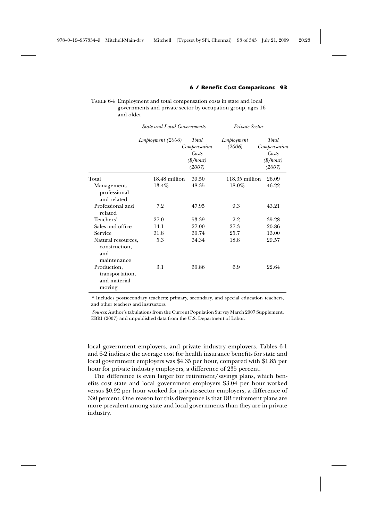#### *6 / Benefit Cost Comparisons 93*

Table 6-4 Employment and total compensation costs in state and local governments and private sector by occupation group, ages 16 and older

|                                                           | <b>State and Local Governments</b> |                                                                 | Private Sector       |                                                                        |
|-----------------------------------------------------------|------------------------------------|-----------------------------------------------------------------|----------------------|------------------------------------------------------------------------|
|                                                           | Employment (2006)                  | Total<br>Compensation<br>Costs<br>$(\frac{\$}{hour})$<br>(2007) | Employment<br>(2006) | <b>Total</b><br>Compensation<br>Costs<br>$(\frac{\$}{hour})$<br>(2007) |
| Total                                                     | 18.48 million                      | 39.50                                                           | $118.35$ million     | 26.09                                                                  |
| Management,<br>professional<br>and related                | 13.4%                              | 48.35                                                           | 18.0%                | 46.22                                                                  |
| Professional and<br>related                               | 7.2                                | 47.95                                                           | 9.3                  | 43.21                                                                  |
| Teachers <sup>a</sup>                                     | 27.0                               | 53.39                                                           | 2.2                  | 39.28                                                                  |
| Sales and office                                          | 14.1                               | 27.00                                                           | 27.3                 | 20.86                                                                  |
| Service                                                   | 31.8                               | 30.74                                                           | 25.7                 | 13.00                                                                  |
| Natural resources,<br>construction,<br>and<br>maintenance | 5.3                                | 34.34                                                           | 18.8                 | 29.57                                                                  |
| Production,<br>transportation,<br>and material<br>moving  | 3.1                                | 30.86                                                           | 6.9                  | 22.64                                                                  |

<sup>a</sup> Includes postsecondary teachers; primary, secondary, and special education teachers, and other teachers and instructors.

*Sources*: Author's tabulations from the Current Population Survey March 2007 Supplement, EBRI (2007) and unpublished data from the U.S. Department of Labor.

local government employers, and private industry employers. Tables 6-1 and 6-2 indicate the average cost for health insurance benefits for state and local government employers was \$4.35 per hour, compared with \$1.85 per hour for private industry employers, a difference of 235 percent.

The difference is even larger for retirement/savings plans, which benefits cost state and local government employers \$3.04 per hour worked versus \$0.92 per hour worked for private-sector employers, a difference of 330 percent. One reason for this divergence is that DB retirement plans are more prevalent among state and local governments than they are in private industry.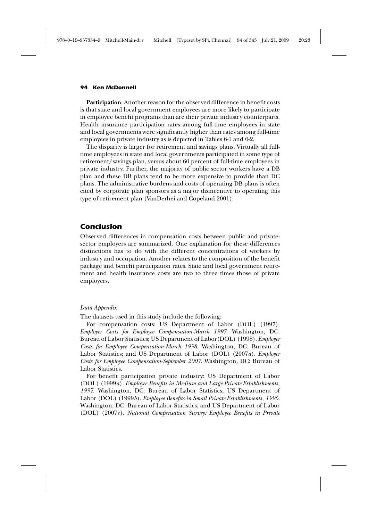**Participation**. Another reason for the observed difference in benefit costs is that state and local government employees are more likely to participate in employee benefit programs than are their private industry counterparts. Health insurance participation rates among full-time employees in state and local governments were significantly higher than rates among full-time employees in private industry as is depicted in Tables 6-1 and 6-2.

The disparity is larger for retirement and savings plans. Virtually all fulltime employees in state and local governments participated in some type of retirement/savings plan, versus about 60 percent of full-time employees in private industry. Further, the majority of public sector workers have a DB plan and these DB plans tend to be more expensive to provide than DC plans. The administrative burdens and costs of operating DB plans is often cited by corporate plan sponsors as a major disincentive to operating this type of retirement plan (VanDerhei and Copeland 2001).

#### *Conclusion*

Observed differences in compensation costs between public and privatesector employers are summarized. One explanation for these differences distinctions has to do with the different concentrations of workers by industry and occupation. Another relates to the composition of the benefit package and benefit participation rates. State and local government retirement and health insurance costs are two to three times those of private employers.

#### *Data Appendix*

The datasets used in this study include the following:

For compensation costs: US Department of Labor (DOL) (1997). *Employer Costs for Employee Compensation-March 1997*. Washington, DC: Bureau of Labor Statistics; US Department of Labor(DOL) (1998). *Employer Costs for Employee Compensation-March 1998*. Washington, DC: Bureau of Labor Statistics; and US Department of Labor (DOL) (2007*a*). *Employer Costs for Employee Compensation-September 2007*. Washington, DC: Bureau of Labor Statistics.

For benefit participation private industry: US Department of Labor (DOL) (1999*a*). *Employee Benefits in Medium and Large Private Establishments, 1997*. Washington, DC: Bureau of Labor Statistics; US Department of Labor (DOL) (1999*b*). *Employee Benefits in Small Private Establishments, 1996*. Washington, DC: Bureau of Labor Statistics; and US Department of Labor (DOL) (2007*c*). *National Compensation Survey: Employee Benefits in Private*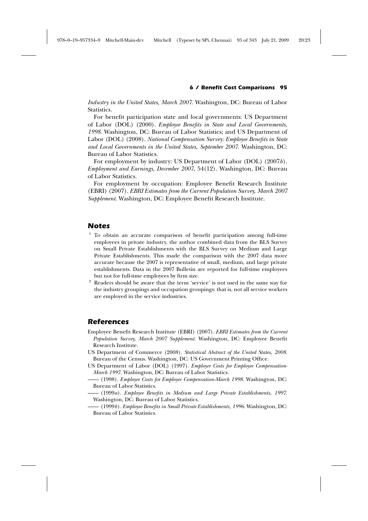#### *6 / Benefit Cost Comparisons 95*

*Industry in the United States, March 2007*. Washington, DC: Bureau of Labor Statistics.

For benefit participation state and local governments: US Department of Labor (DOL) (2000). *Employee Benefits in State and Local Governments, 1998*. Washington, DC: Bureau of Labor Statistics; and US Department of Labor (DOL) (2008). *National Compensation Survey: Employee Benefits in State and Local Governments in the United States, September 2007*. Washington, DC: Bureau of Labor Statistics.

For employment by industry: US Department of Labor (DOL) (2007*b*). *Employment and Earnings, December 2007*, 54(12). Washington, DC: Bureau of Labor Statistics.

For employment by occupation: Employee Benefit Research Institute (EBRI) (2007). *EBRI Estimates from the Current Population Survey, March 2007 Supplement*. Washington, DC: Employee Benefit Research Institute.

#### *Notes*

- <sup>1</sup> To obtain an accurate comparison of benefit participation among full-time employees in private industry, the author combined data from the BLS Survey on Small Private Establishments with the BLS Survey on Medium and Large Private Establishments. This made the comparison with the 2007 data more accurate because the 2007 is representative of small, medium, and large private establishments. Data in the 2007 Bulletin are reported for full-time employees but not for full-time employees by firm size.
- <sup>2</sup> Readers should be aware that the term 'service' is not used in the same way for the industry groupings and occupation groupings: that is, not all service workers are employed in the service industries.

#### *References*

- Employee Benefit Research Institute (EBRI) (2007). *EBRI Estimates from the Current Population Survey, March 2007 Supplement*. Washington, DC: Employee Benefit Research Institute.
- US Department of Commerce (2008). *Statistical Abstract of the United States, 2008*. Bureau of the Census. Washington, DC: US Government Printing Office.
- US Department of Labor (DOL) (1997). *Employer Costs for Employee Compensation-March 1997*. Washington, DC: Bureau of Labor Statistics.
- (1998). *Employer Costs for Employee Compensation-March 1998*. Washington, DC: Bureau of Labor Statistics.
- (1999*a*). *Employee Benefits in Medium and Large Private Establishments, 1997*. Washington, DC: Bureau of Labor Statistics.
- (1999*b*). *Employee Benefits in Small Private Establishments, 1996*. Washington, DC: Bureau of Labor Statistics.